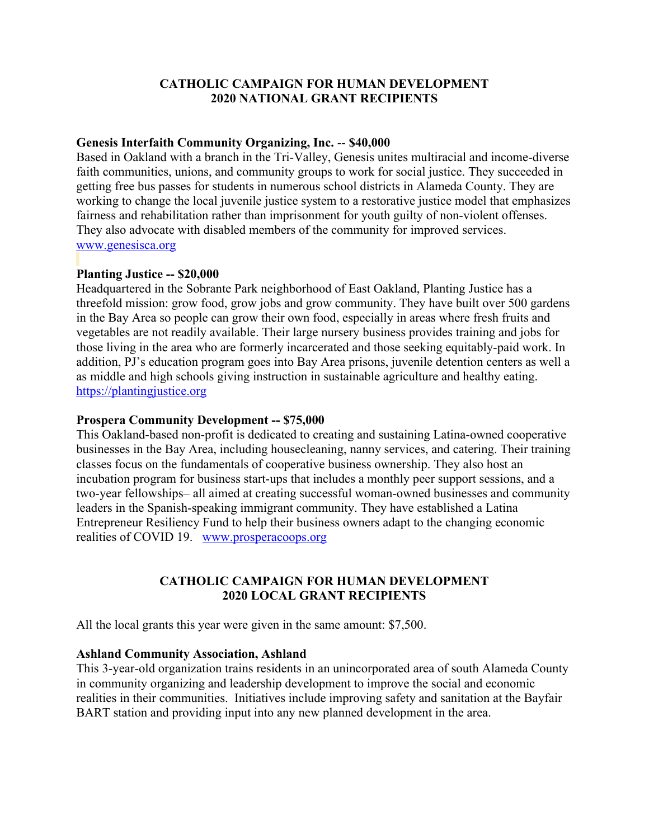# **CATHOLIC CAMPAIGN FOR HUMAN DEVELOPMENT 2020 NATIONAL GRANT RECIPIENTS**

#### **Genesis Interfaith Community Organizing, Inc.** -- **\$40,000**

Based in Oakland with a branch in the Tri-Valley, Genesis unites multiracial and income-diverse faith communities, unions, and community groups to work for social justice. They succeeded in getting free bus passes for students in numerous school districts in Alameda County. They are working to change the local juvenile justice system to a restorative justice model that emphasizes fairness and rehabilitation rather than imprisonment for youth guilty of non-violent offenses. They also advocate with disabled members of the community for improved services. [www.genesisca.org](https://www.genesisca.org/)

# **Planting Justice -- \$20,000**

Headquartered in the Sobrante Park neighborhood of East Oakland, Planting Justice has a threefold mission: grow food, grow jobs and grow community. They have built over 500 gardens in the Bay Area so people can grow their own food, especially in areas where fresh fruits and vegetables are not readily available. Their large nursery business provides training and jobs for those living in the area who are formerly incarcerated and those seeking equitably-paid work. In addition, PJ's education program goes into Bay Area prisons, juvenile detention centers as well a as middle and high schools giving instruction in sustainable agriculture and healthy eating. [https://plantingjustice.org](https://plantingjustice.org/)

#### **Prospera Community Development -- \$75,000**

This Oakland-based non-profit is dedicated to creating and sustaining Latina-owned cooperative businesses in the Bay Area, including housecleaning, nanny services, and catering. Their training classes focus on the fundamentals of cooperative business ownership. They also host an incubation program for business start-ups that includes a monthly peer support sessions, and a two-year fellowships– all aimed at creating successful woman-owned businesses and community leaders in the Spanish-speaking immigrant community. They have established a Latina Entrepreneur Resiliency Fund to help their business owners adapt to the changing economic realities of COVID 19. [www.prosperacoops.org](http://www.prosperacoops.org/) 

## **CATHOLIC CAMPAIGN FOR HUMAN DEVELOPMENT 2020 LOCAL GRANT RECIPIENTS**

All the local grants this year were given in the same amount: \$7,500.

#### **Ashland Community Association, Ashland**

This 3-year-old organization trains residents in an unincorporated area of south Alameda County in community organizing and leadership development to improve the social and economic realities in their communities. Initiatives include improving safety and sanitation at the Bayfair BART station and providing input into any new planned development in the area.